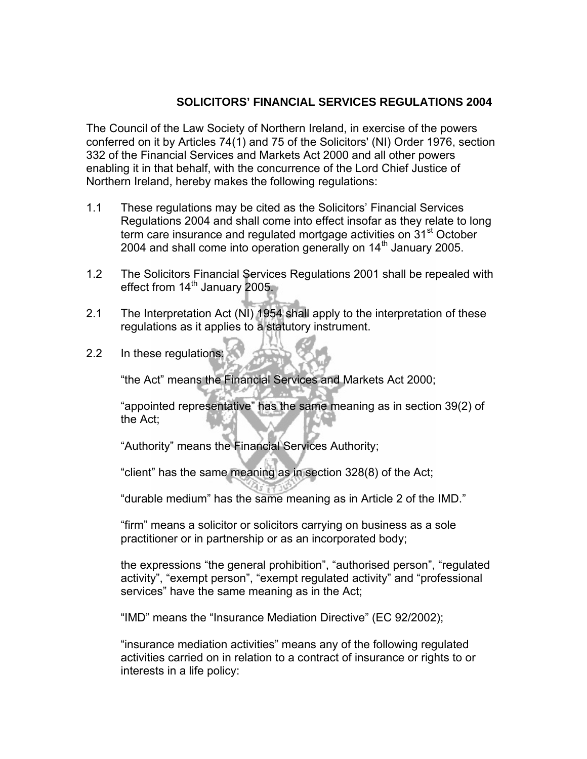# **SOLICITORS' FINANCIAL SERVICES REGULATIONS 2004**

The Council of the Law Society of Northern Ireland, in exercise of the powers conferred on it by Articles 74(1) and 75 of the Solicitors' (NI) Order 1976, section 332 of the Financial Services and Markets Act 2000 and all other powers enabling it in that behalf, with the concurrence of the Lord Chief Justice of Northern Ireland, hereby makes the following regulations:

- 1.1 These regulations may be cited as the Solicitors' Financial Services Regulations 2004 and shall come into effect insofar as they relate to long term care insurance and regulated mortgage activities on 31<sup>st</sup> October 2004 and shall come into operation generally on  $14<sup>th</sup>$  January 2005.
- 1.2 The Solicitors Financial Services Regulations 2001 shall be repealed with effect from  $14<sup>th</sup>$  January 2005.
- 2.1 The Interpretation Act (NI) 1954 shall apply to the interpretation of these regulations as it applies to a statutory instrument.
- 2.2 In these regulations:

"the Act" means the Financial Services and Markets Act 2000;

"appointed representative" has the same meaning as in section 39(2) of the Act;

"Authority" means the Financial Services Authority;

"client" has the same meaning as in section 328(8) of the Act;

"durable medium" has the same meaning as in Article 2 of the IMD."

"firm" means a solicitor or solicitors carrying on business as a sole practitioner or in partnership or as an incorporated body;

the expressions "the general prohibition", "authorised person", "regulated activity", "exempt person", "exempt regulated activity" and "professional services" have the same meaning as in the Act;

"IMD" means the "Insurance Mediation Directive" (EC 92/2002);

"insurance mediation activities" means any of the following regulated activities carried on in relation to a contract of insurance or rights to or interests in a life policy: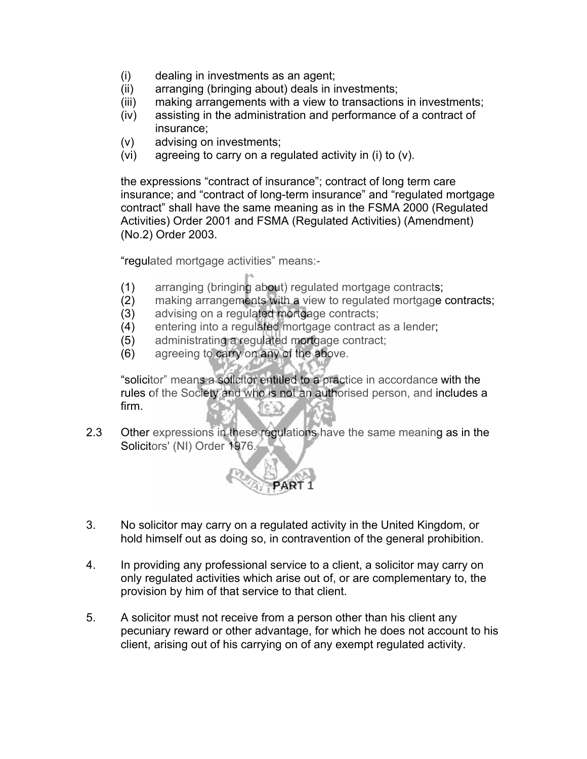- (i) dealing in investments as an agent;
- (ii) arranging (bringing about) deals in investments;
- (iii) making arrangements with a view to transactions in investments;
- (iv) assisting in the administration and performance of a contract of insurance;
- (v) advising on investments;
- (vi) agreeing to carry on a regulated activity in (i) to (v).

the expressions "contract of insurance"; contract of long term care insurance; and "contract of long-term insurance" and "regulated mortgage contract" shall have the same meaning as in the FSMA 2000 (Regulated Activities) Order 2001 and FSMA (Regulated Activities) (Amendment) (No.2) Order 2003.

"regulated mortgage activities" means:-

- (1) arranging (bringing about) regulated mortgage contracts;
- (2) making arrangements with a view to regulated mortgage contracts;
- (3) advising on a regulated mortgage contracts;
- (4) entering into a regulated mortgage contract as a lender;
- (5) administrating a regulated mortgage contract;
- (6) agreeing to carry on any of the above.

"solicitor" means a solicitor entitled to a practice in accordance with the rules of the Society and who is not an authorised person, and includes a firm.

2.3 Other expressions in these regulations have the same meaning as in the Solicitors' (NI) Order 1976.



- 3. No solicitor may carry on a regulated activity in the United Kingdom, or hold himself out as doing so, in contravention of the general prohibition.
- 4. In providing any professional service to a client, a solicitor may carry on only regulated activities which arise out of, or are complementary to, the provision by him of that service to that client.
- 5. A solicitor must not receive from a person other than his client any pecuniary reward or other advantage, for which he does not account to his client, arising out of his carrying on of any exempt regulated activity.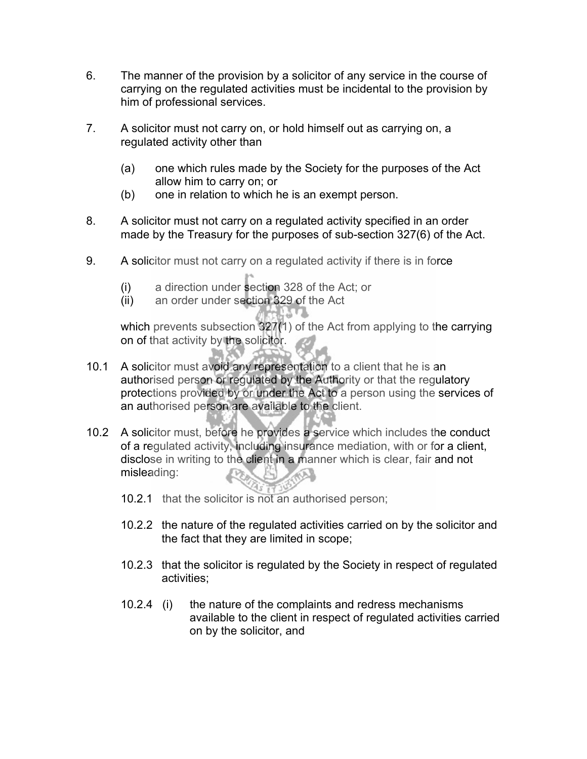- 6. The manner of the provision by a solicitor of any service in the course of carrying on the regulated activities must be incidental to the provision by him of professional services.
- 7. A solicitor must not carry on, or hold himself out as carrying on, a regulated activity other than
	- (a) one which rules made by the Society for the purposes of the Act allow him to carry on; or
	- (b) one in relation to which he is an exempt person.
- 8. A solicitor must not carry on a regulated activity specified in an order made by the Treasury for the purposes of sub-section 327(6) of the Act.
- 9. A solicitor must not carry on a regulated activity if there is in force
	- (i) a direction under section 328 of the Act; or
	- (ii) an order under section 329 of the Act **REDATA**

which prevents subsection 327(1) of the Act from applying to the carrying on of that activity by the solicitor.

- 10.1 A solicitor must avoid any representation to a client that he is an authorised person or regulated by the Authority or that the regulatory protections provided by or under the Act to a person using the services of an authorised person are available to the client.
- 10.2 A solicitor must, before he provides a service which includes the conduct of a regulated activity, including insurance mediation, with or for a client, disclose in writing to the client in a manner which is clear, fair and not misleading:
	- 10.2.1 that the solicitor is not an authorised person;

35 TT 39

- 10.2.2 the nature of the regulated activities carried on by the solicitor and the fact that they are limited in scope;
- 10.2.3 that the solicitor is regulated by the Society in respect of regulated activities;
- 10.2.4 (i) the nature of the complaints and redress mechanisms available to the client in respect of regulated activities carried on by the solicitor, and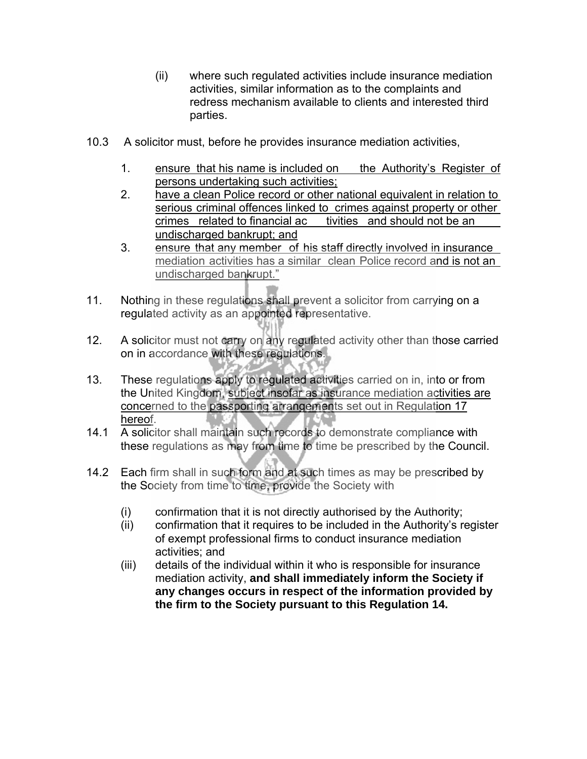- (ii) where such regulated activities include insurance mediation activities, similar information as to the complaints and redress mechanism available to clients and interested third parties.
- 10.3 A solicitor must, before he provides insurance mediation activities,
	- persons undertaking such activities; 1. ensure that his name is included on the Authority's Register of
	- 2. have a clean Police record or other national equivalent in relation to serious criminal offences linked to crimes against property or other crimes related to financial ac tivities and should not be an undischarged bankrupt; and
	- 3. ensure that any member of his staff directly involved in insurance mediation activities has a similar clean Police record and is not an undischarged bankrupt."
- 11. Nothing in these regulations shall prevent a solicitor from carrying on a regulated activity as an appointed representative.
- 12. A solicitor must not carry on any regulated activity other than those carried on in accordance with these regulations.
- 13. These regulations apply to regulated activities carried on in, into or from the United Kingdom, subject insofar as insurance mediation activities are concerned to the passporting arrangements set out in Regulation 17 hereof.
- 14.1 A solicitor shall maintain such records to demonstrate compliance with these regulations as may from time to time be prescribed by the Council.
- 14.2 Each firm shall in such form and at such times as may be prescribed by the Society from time to time, provide the Society with
	- (i) confirmation that it is not directly authorised by the Authority;
	- (ii) confirmation that it requires to be included in the Authority's register of exempt professional firms to conduct insurance mediation activities; and
	- (iii) details of the individual within it who is responsible for insurance mediation activity, **and shall immediately inform the Society if any changes occurs in respect of the information provided by the firm to the Society pursuant to this Regulation 14.**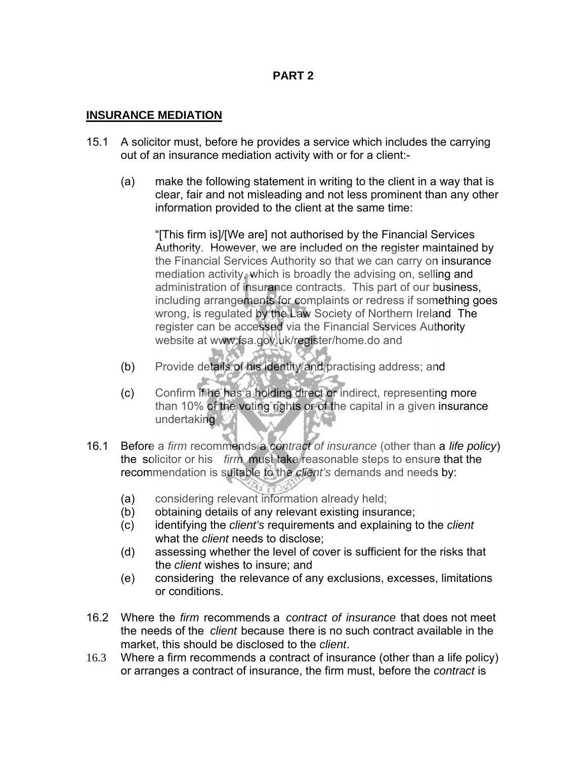# **PART 2**

#### **INSURANCE MEDIATION**

- 15.1 A solicitor must, before he provides a service which includes the carrying out of an insurance mediation activity with or for a client:-
	- (a) make the following statement in writing to the client in a way that is clear, fair and not misleading and not less prominent than any other information provided to the client at the same time:

"[This firm is]/[We are] not authorised by the Financial Services Authority. However, we are included on the register maintained by the Financial Services Authority so that we can carry on insurance mediation activity, which is broadly the advising on, selling and administration of insurance contracts. This part of our business, including arrangements for complaints or redress if something goes wrong, is regulated by the Law Society of Northern Ireland The register can be accessed via the Financial Services Authority website at<www.fsa.gov.uk/register/home.do>and

- (b) Provide details of his identity and practising address; and
- (c) Confirm if he has a holding direct or indirect, representing more than 10% of the voting rights or of the capital in a given insurance undertaking
- 16.1 Before a *firm* recommends a *contract of insurance* (other than a *life policy*) the solicitor or his *firm* must take reasonable steps to ensure that the recommendation is suitable to the *client's* demands and needs by:
	- (a) considering relevant information already held;
	- (b) obtaining details of any relevant existing insurance;
	- (c) identifying the *client's* requirements and explaining to the *client* what the *client* needs to disclose;
	- (d) assessing whether the level of cover is sufficient for the risks that the *client* wishes to insure; and
	- (e) considering the relevance of any exclusions, excesses, limitations or conditions.
- 16.2 Where the *firm* recommends a *contract of insurance* that does not meet the needs of the *client* because there is no such contract available in the market, this should be disclosed to the *client*.
- 16.3 Where a firm recommends a contract of insurance (other than a life policy) or arranges a contract of insurance, the firm must, before the *contract* is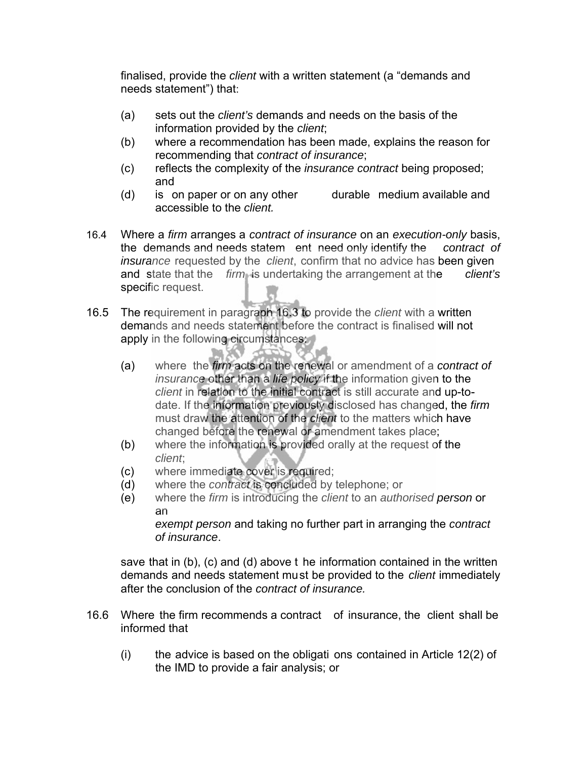finalised, provide the *client* with a written statement (a "demands and needs statement") that:

- (a) sets out the *client's* demands and needs on the basis of the information provided by the *client*;
- (b) where a recommendation has been made, explains the reason for recommending that *contract of insurance*;
- (c) reflects the complexity of the *insurance contract* being proposed; and
- accessible to the *client.* (d) is on paper or on any other durable medium available and
- 16.4 Where a *firm* arranges a *contract of insurance* on an *execution-only* basis, the demands and needs statem ent need only identify the *contract of insurance* requested by the *client*, confirm that no advice has been given and state that the *firm* is undertaking the arrangement at the *client's*  specific request.
- 16.5 The requirement in paragraph 16.3 to provide the *client* with a written demands and needs statement before the contract is finalised will not apply in the following circumstances:
	- date. If the information previously disclosed has changed, the *firm* (a) where the *firm* acts on the renewal or amendment of a *contract of insurance* other than a *life policy* if the information given to the *client* in relation to the initial contract is still accurate and up-tomust draw the attention of the *client* to the matters which have changed before the renewal or amendment takes place;
	- (b) where the information is provided orally at the request of the *client*;
	- (c) where immediate cover is required;
	- (d) where the *contract* is concluded by telephone; or
	- (e) where the *firm* is introducing the *client* to an *authorised person* or an

*exempt person* and taking no further part in arranging the *contract of insurance*.

save that in (b), (c) and (d) above t he information contained in the written demands and needs statement must be provided to the *client* immediately after the conclusion of the *contract of insurance.* 

- 16.6 Where the firm recommends a contract of insurance, the client shall be informed that
	- (i) the advice is based on the obligati ons contained in Article 12(2) of the IMD to provide a fair analysis; or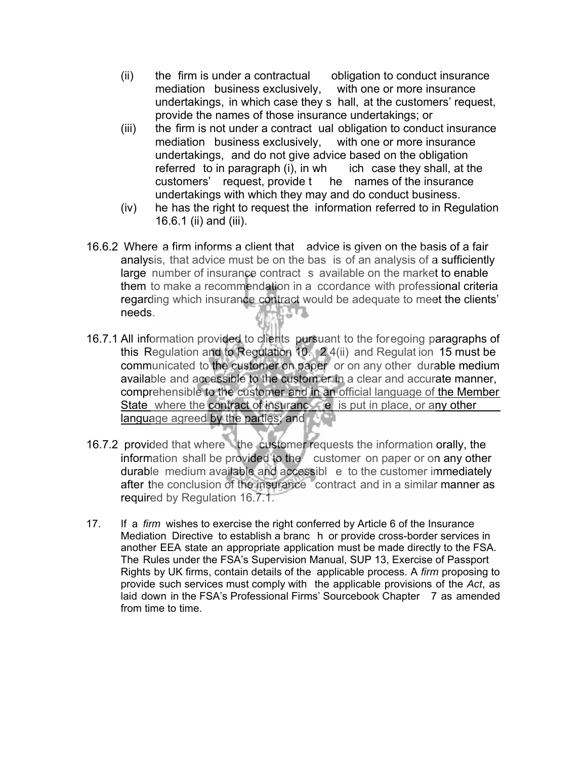- (ii) the firm is under a contractual obligation to conduct insurance mediation business exclusively, with one or more insurance undertakings, in which case they s hall, at the customers' request, provide the names of those insurance undertakings; or
- (iii) the firm is not under a contract ual obligation to conduct insurance mediation business exclusively, with one or more insurance undertakings, and do not give advice based on the obligation referred to in paragraph (i), in wh ich case they shall, at the customers' request, provide t he names of the insurance undertakings with which they may and do conduct business.
- (iv) he has the right to request the information referred to in Regulation 16.6.1 (ii) and (iii).
- 16.6.2 Where a firm informs a client that advice is given on the basis of a fair analysis, that advice must be on the bas is of an analysis of a sufficiently large number of insurance contract s available on the market to enable them to make a recommendation in a ccordance with professional criteria regarding which insurance contract would be adequate to meet the clients' needs. **DATE**
- 16.7.1 All information provided to clients pursuant to the foregoing paragraphs of this Regulation and to Regulation 10. 2.4(ii) and Regulat ion 15 must be communicated to the customer on paper or on any other durable medium available and accessible to the custom er in a clear and accurate manner, comprehensible to the customer and in an official language of the Member State where the contract of insurance e is put in place, or any other language agreed by the parties; and
- 16.7.2 provided that where the customer requests the information orally, the information shall be provided to the customer on paper or on any other durable medium available and accessibl e to the customer immediately after the conclusion of the insurance contract and in a similar manner as required by Regulation 16.7.1.
- 17. If a *firm* wishes to exercise the right conferred by Article 6 of the Insurance Mediation Directive to establish a branc h or provide cross-border services in another EEA state an appropriate application must be made directly to the FSA. The Rules under the FSA's Supervision Manual, SUP 13, Exercise of Passport Rights by UK firms, contain details of the applicable process. A *firm* proposing to provide such services must comply with the applicable provisions of the *Act*, as laid down in the FSA's Professional Firms' Sourcebook Chapter 7 as amended from time to time.